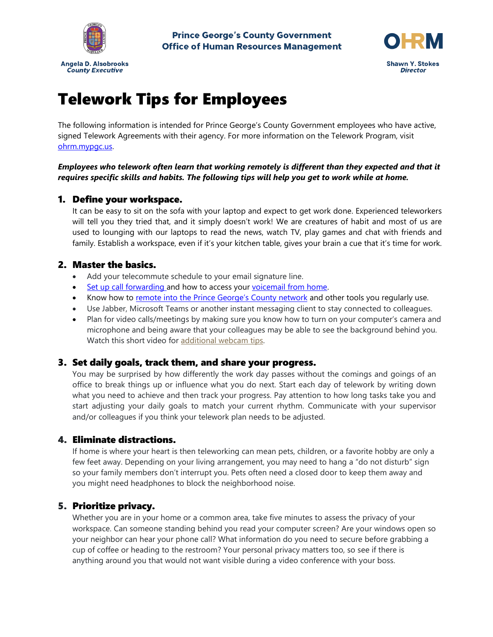



# Telework Tips for Employees

The following information is intended for Prince George's County Government employees who have active, signed Telework Agreements with their agency. For more information on the Telework Program, visit [ohrm.mypgc.us.](http://ohrm.mypgc.us/)

#### *Employees who telework often learn that working remotely is different than they expected and that it requires specific skills and habits. The following tips will help you get to work while at home.*

## 1. Define your workspace.

It can be easy to sit on the sofa with your laptop and expect to get work done. Experienced teleworkers will tell you they tried that, and it simply doesn't work! We are creatures of habit and most of us are used to lounging with our laptops to read the news, watch TV, play games and chat with friends and family. Establish a workspace, even if it's your kitchen table, gives your brain a cue that it's time for work.

## 2. Master the basics.

- Add your telecommute schedule to your email signature line.
- Set up [call forwarding](https://www.princegeorgescountymd.gov/DocumentCenter/View/29108/Telecommunications_Avaya-Guide-PDF) and how to access your [voicemail from home.](https://www.princegeorgescountymd.gov/DocumentCenter/View/29777/Voicemail-to-Email-Instructions?bidId=)
- Know how to [remote into the Prince George's County network](https://www.princegeorgescountymd.gov/DocumentCenter/View/29084/How-to-Connect-VPN---End-User-PDF) and other tools you regularly use.
- Use Jabber, Microsoft Teams or another instant messaging client to stay connected to colleagues.
- Plan for video calls/meetings by making sure you know how to turn on your computer's camera and microphone and being aware that your colleagues may be able to see the background behind you. Watch this short video for [additional webcam tips.](https://spark.adobe.com/video/jGVjb)

### 3. Set daily goals, track them, and share your progress.

You may be surprised by how differently the work day passes without the comings and goings of an office to break things up or influence what you do next. Start each day of telework by writing down what you need to achieve and then track your progress. Pay attention to how long tasks take you and start adjusting your daily goals to match your current rhythm. Communicate with your supervisor and/or colleagues if you think your telework plan needs to be adjusted.

### 4. Eliminate distractions.

If home is where your heart is then teleworking can mean pets, children, or a favorite hobby are only a few feet away. Depending on your living arrangement, you may need to hang a "do not disturb" sign so your family members don't interrupt you. Pets often need a closed door to keep them away and you might need headphones to block the neighborhood noise.

### 5. Prioritize privacy.

Whether you are in your home or a common area, take five minutes to assess the privacy of your workspace. Can someone standing behind you read your computer screen? Are your windows open so your neighbor can hear your phone call? What information do you need to secure before grabbing a cup of coffee or heading to the restroom? Your personal privacy matters too, so see if there is anything around you that would not want visible during a video conference with your boss.